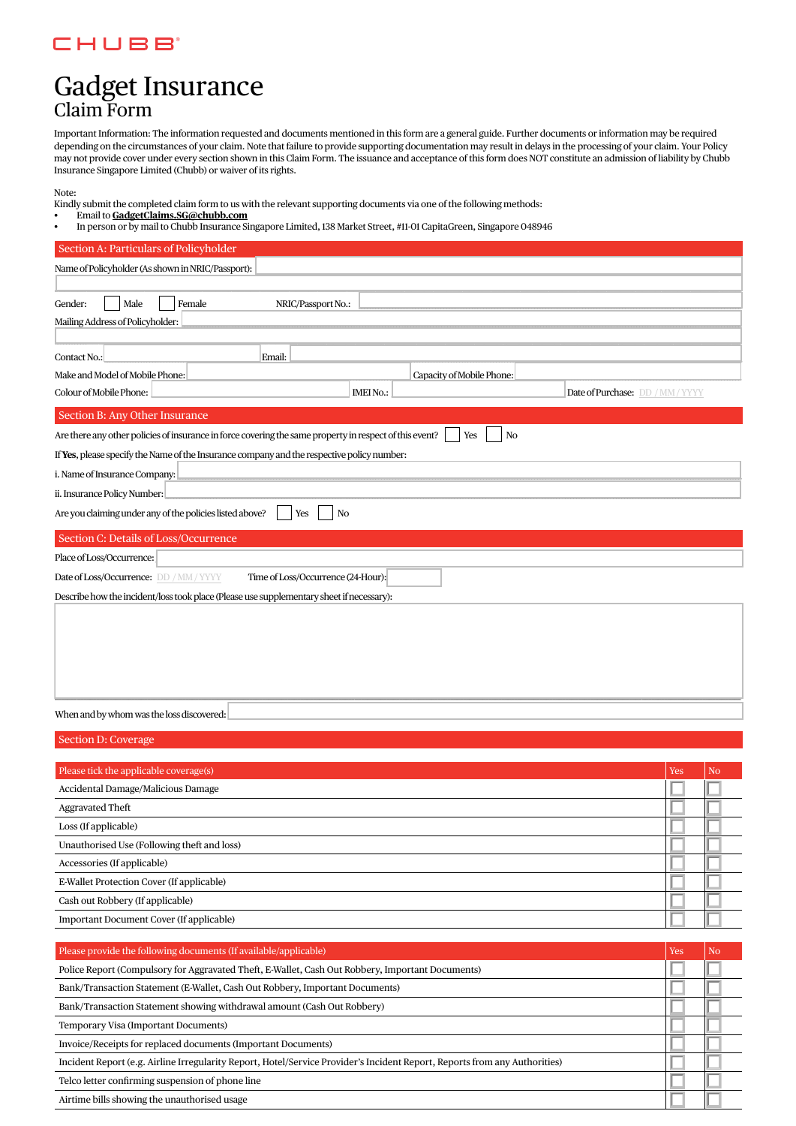## **CHUBB**

## Gadget Insurance Claim Form

Important Information: The information requested and documents mentioned in this form are a general guide. Further documents or information may be required depending on the circumstances of your claim. Note that failure to provide supporting documentation may result in delays in the processing of your claim. Your Policy may not provide cover under every section shown in this Claim Form. The issuance and acceptance of this form does NOT constitute an admission of liability by Chubb Insurance Singapore Limited (Chubb) or waiver of its rights.

| I<br>., | . |  |
|---------|---|--|
|         |   |  |

Kindly submit the completed claim form to us with the relevant supporting documents via one of the following methods:

- Email to **GadgetClaims.SG@chubb.com**
- In person or by mail to Chubb Insurance Singapore Limited, 138 Market Street, #11-01 CapitaGreen, Singapore 048946

## tion A: Particulars of Policyholde

| Name of Policyholder (As shown in NRIC/Passport):                                                                                                                                                                                                                                                                                                                                                          |  |  |  |  |  |  |  |
|------------------------------------------------------------------------------------------------------------------------------------------------------------------------------------------------------------------------------------------------------------------------------------------------------------------------------------------------------------------------------------------------------------|--|--|--|--|--|--|--|
| Gender:<br>Male<br>NRIC/Passport No.:<br>Female<br>Mailing Address of Policyholder:                                                                                                                                                                                                                                                                                                                        |  |  |  |  |  |  |  |
| Contact No.:<br>Email:<br>Make and Model of Mobile Phone:<br>Capacity of Mobile Phone:<br>Colour of Mobile Phone:<br>Date of Purchase: DD / MM / YYYY<br><b>IMEI No.:</b>                                                                                                                                                                                                                                  |  |  |  |  |  |  |  |
| Section B: Any Other Insurance<br>Are there any other policies of insurance in force covering the same property in respect of this event?<br>N <sub>O</sub><br>Yes<br>If Yes, please specify the Name of the Insurance company and the respective policy number:<br>i. Name of Insurance Company:<br>ii. Insurance Policy Number:<br>Are you claiming under any of the policies listed above?<br>Yes<br>No |  |  |  |  |  |  |  |
| Section C: Details of Loss/Occurrence                                                                                                                                                                                                                                                                                                                                                                      |  |  |  |  |  |  |  |
| Place of Loss/Occurrence:<br>Date of Loss/Occurrence: DD / MM / YYYY<br>Time of Loss/Occurrence (24-Hour):<br>Describe how the incident/loss took place (Please use supplementary sheet if necessary):                                                                                                                                                                                                     |  |  |  |  |  |  |  |
| When and by whom was the loss discovered:                                                                                                                                                                                                                                                                                                                                                                  |  |  |  |  |  |  |  |
| Section D: Coverage                                                                                                                                                                                                                                                                                                                                                                                        |  |  |  |  |  |  |  |
| Please tick the applicable coverage(s)<br>Yes<br>No<br>Accidental Damage/Malicious Damage                                                                                                                                                                                                                                                                                                                  |  |  |  |  |  |  |  |

| <b>Aggravated Theft</b>                     |  |
|---------------------------------------------|--|
| Loss (If applicable)                        |  |
| Unauthorised Use (Following theft and loss) |  |
| Accessories (If applicable)                 |  |
| E-Wallet Protection Cover (If applicable)   |  |
| Cash out Robbery (If applicable)            |  |
| Important Document Cover (If applicable)    |  |

| Please provide the following documents (If available/applicable)                                                           | Yes | N <sub>o</sub> |
|----------------------------------------------------------------------------------------------------------------------------|-----|----------------|
| Police Report (Compulsory for Aggravated Theft, E-Wallet, Cash Out Robbery, Important Documents)                           |     |                |
| Bank/Transaction Statement (E-Wallet, Cash Out Robbery, Important Documents)                                               |     |                |
| Bank/Transaction Statement showing withdrawal amount (Cash Out Robbery)                                                    |     |                |
| Temporary Visa (Important Documents)                                                                                       |     |                |
| Invoice/Receipts for replaced documents (Important Documents)                                                              |     |                |
| Incident Report (e.g. Airline Irregularity Report, Hotel/Service Provider's Incident Report, Reports from any Authorities) |     |                |
| Telco letter confirming suspension of phone line                                                                           |     |                |
| Airtime bills showing the unauthorised usage                                                                               |     |                |